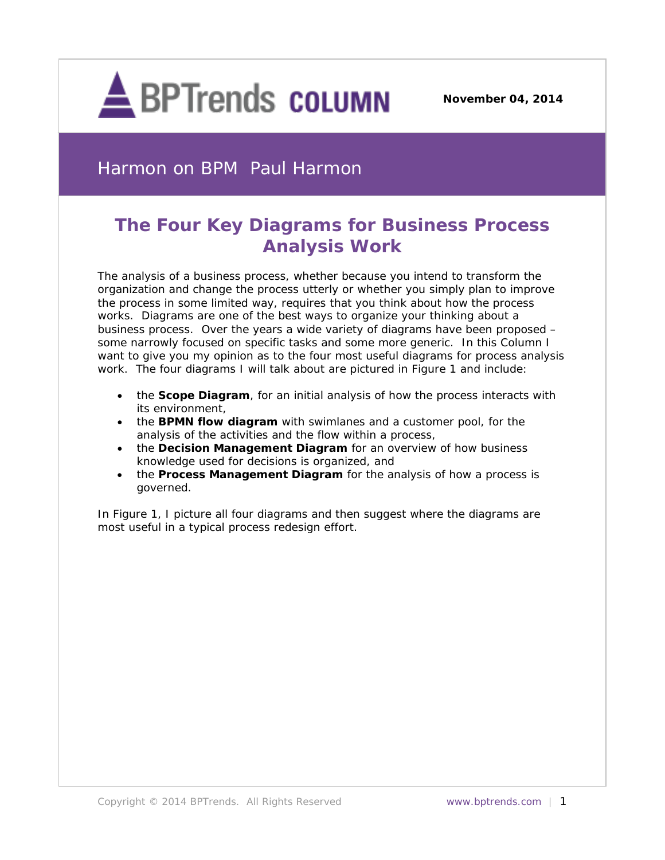

**November 04, 2014**

# Harmon on BPM Paul Harmon

# **The Four Key Diagrams for Business Process Analysis Work**

The analysis of a business process, whether because you intend to transform the organization and change the process utterly or whether you simply plan to improve the process in some limited way, requires that you think about how the process works. Diagrams are one of the best ways to organize your thinking about a business process. Over the years a wide variety of diagrams have been proposed – some narrowly focused on specific tasks and some more generic. In this Column I want to give you my opinion as to the four most useful diagrams for process analysis work. The four diagrams I will talk about are pictured in Figure 1 and include:

- the **Scope Diagram**, for an initial analysis of how the process interacts with its environment,
- the **BPMN flow diagram** with swimlanes and a customer pool, for the analysis of the activities and the flow within a process,
- the **Decision Management Diagram** for an overview of how business knowledge used for decisions is organized, and
- the **Process Management Diagram** for the analysis of how a process is governed.

In Figure 1, I picture all four diagrams and then suggest where the diagrams are most useful in a typical process redesign effort.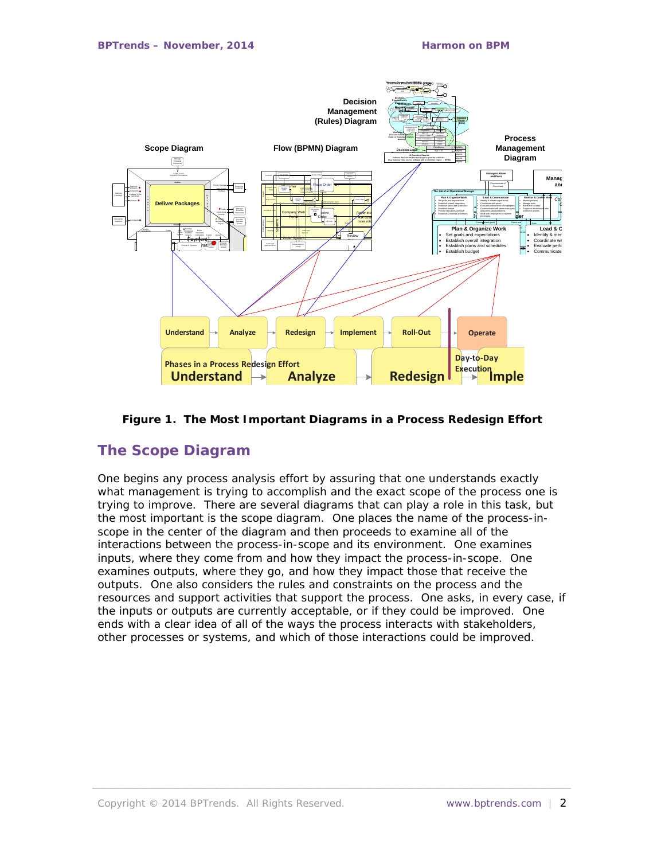

#### **Figure 1. The Most Important Diagrams in a Process Redesign Effort**

## **The Scope Diagram**

One begins any process analysis effort by assuring that one understands exactly what management is trying to accomplish and the exact scope of the process one is trying to improve. There are several diagrams that can play a role in this task, but the most important is the scope diagram. One places the name of the process-inscope in the center of the diagram and then proceeds to examine all of the interactions between the process-in-scope and its environment. One examines inputs, where they come from and how they impact the process-in-scope. One examines outputs, where they go, and how they impact those that receive the outputs. One also considers the rules and constraints on the process and the resources and support activities that support the process. One asks, in every case, if the inputs or outputs are currently acceptable, or if they could be improved. One ends with a clear idea of all of the ways the process interacts with stakeholders, other processes or systems, and which of those interactions could be improved.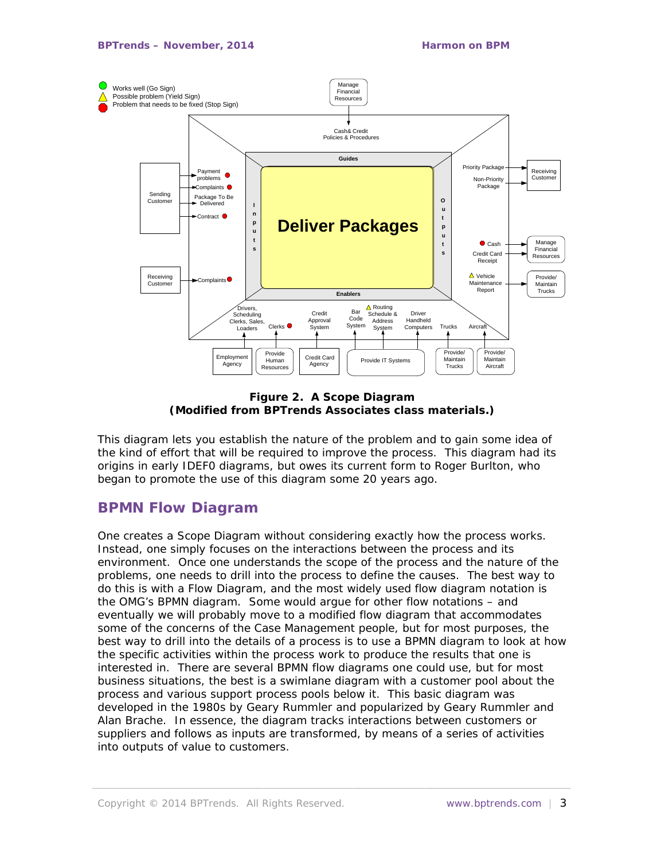

**Figure 2. A Scope Diagram (Modified from BPTrends Associates class materials.)**

This diagram lets you establish the nature of the problem and to gain some idea of the kind of effort that will be required to improve the process. This diagram had its origins in early IDEF0 diagrams, but owes its current form to Roger Burlton, who began to promote the use of this diagram some 20 years ago.

## **BPMN Flow Diagram**

One creates a Scope Diagram without considering exactly how the process works. Instead, one simply focuses on the interactions between the process and its environment. Once one understands the scope of the process and the nature of the problems, one needs to drill into the process to define the causes. The best way to do this is with a Flow Diagram, and the most widely used flow diagram notation is the OMG's BPMN diagram. Some would argue for other flow notations – and eventually we will probably move to a modified flow diagram that accommodates some of the concerns of the Case Management people, but for most purposes, the best way to drill into the details of a process is to use a BPMN diagram to look at how the specific activities within the process work to produce the results that one is interested in. There are several BPMN flow diagrams one could use, but for most business situations, the best is a swimlane diagram with a customer pool about the process and various support process pools below it. This basic diagram was developed in the 1980s by Geary Rummler and popularized by Geary Rummler and Alan Brache. In essence, the diagram tracks interactions between customers or suppliers and follows as inputs are transformed, by means of a series of activities into outputs of value to customers.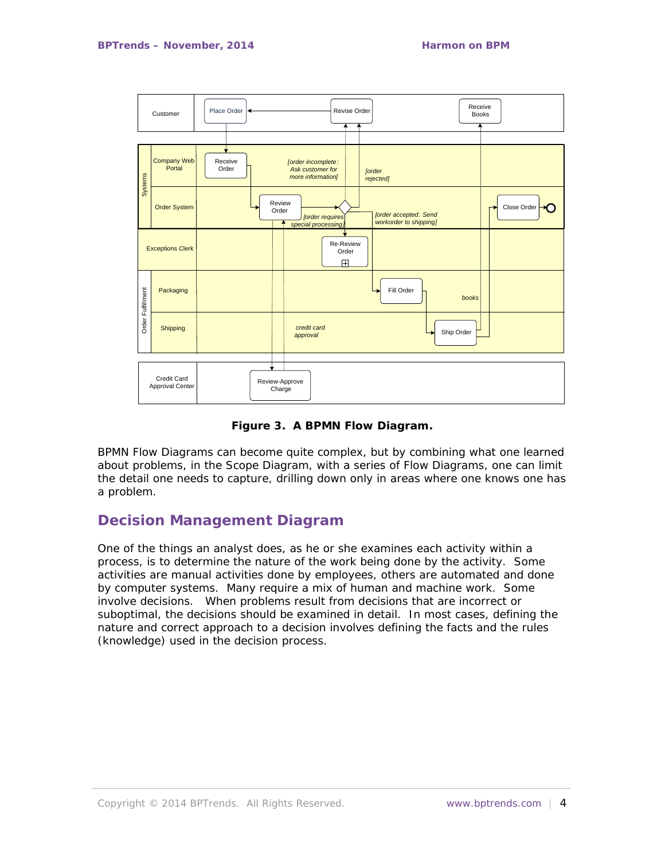

**Figure 3. A BPMN Flow Diagram.**

BPMN Flow Diagrams can become quite complex, but by combining what one learned about problems, in the Scope Diagram, with a series of Flow Diagrams, one can limit the detail one needs to capture, drilling down only in areas where one knows one has a problem.

## **Decision Management Diagram**

One of the things an analyst does, as he or she examines each activity within a process, is to determine the nature of the work being done by the activity. Some activities are manual activities done by employees, others are automated and done by computer systems. Many require a mix of human and machine work. Some involve decisions. When problems result from decisions that are incorrect or suboptimal, the decisions should be examined in detail. In most cases, defining the nature and correct approach to a decision involves defining the facts and the rules (knowledge) used in the decision process.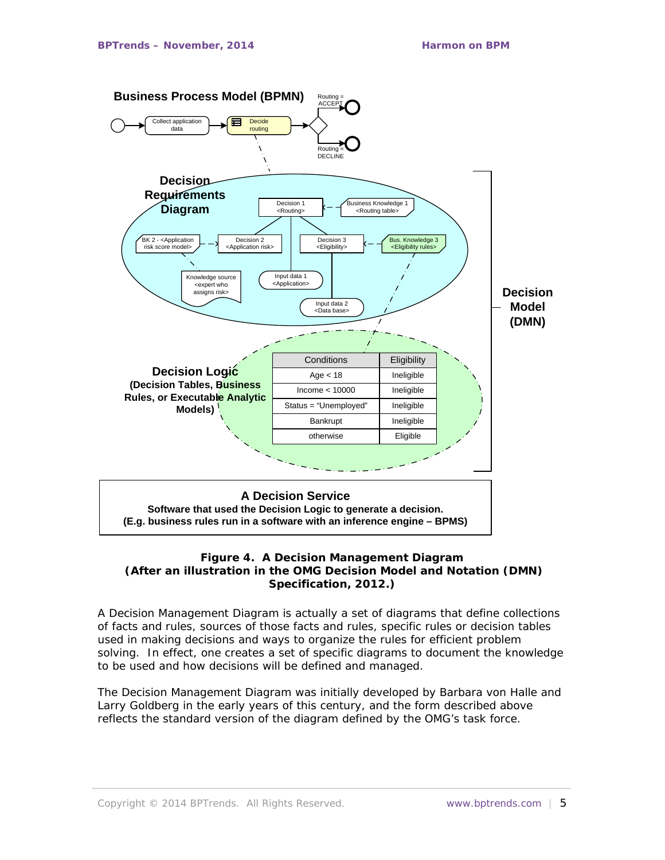

#### **Figure 4. A Decision Management Diagram (After an illustration in the OMG Decision Model and Notation (DMN) Specification, 2012.)**

A Decision Management Diagram is actually a set of diagrams that define collections of facts and rules, sources of those facts and rules, specific rules or decision tables used in making decisions and ways to organize the rules for efficient problem solving. In effect, one creates a set of specific diagrams to document the knowledge to be used and how decisions will be defined and managed.

The Decision Management Diagram was initially developed by Barbara von Halle and Larry Goldberg in the early years of this century, and the form described above reflects the standard version of the diagram defined by the OMG's task force.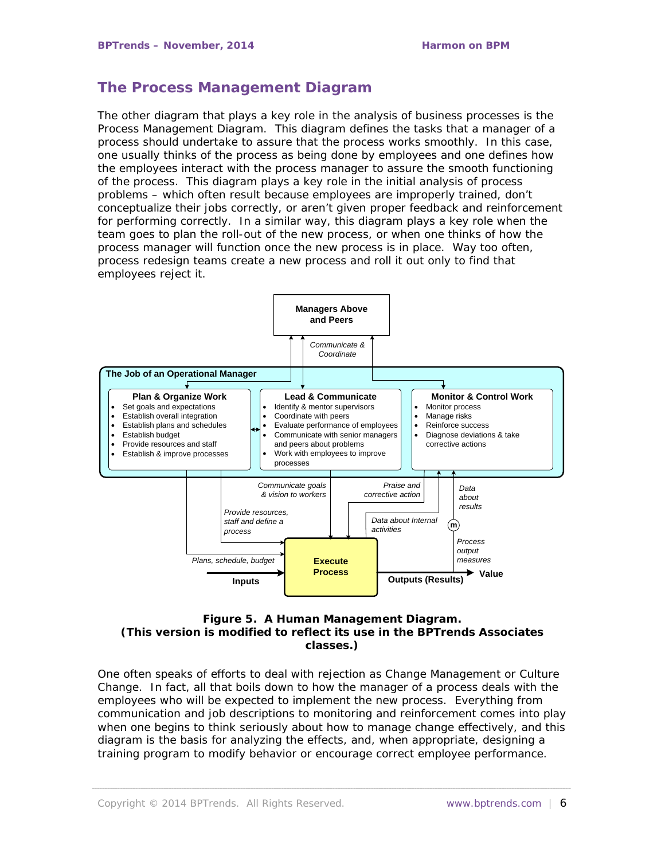## **The Process Management Diagram**

The other diagram that plays a key role in the analysis of business processes is the Process Management Diagram. This diagram defines the tasks that a manager of a process should undertake to assure that the process works smoothly. In this case, one usually thinks of the process as being done by employees and one defines how the employees interact with the process manager to assure the smooth functioning of the process. This diagram plays a key role in the initial analysis of process problems – which often result because employees are improperly trained, don't conceptualize their jobs correctly, or aren't given proper feedback and reinforcement for performing correctly. In a similar way, this diagram plays a key role when the team goes to plan the roll-out of the new process, or when one thinks of how the process manager will function once the new process is in place. Way too often, process redesign teams create a new process and roll it out only to find that employees reject it.



#### **Figure 5. A Human Management Diagram. (This version is modified to reflect its use in the BPTrends Associates classes.)**

One often speaks of efforts to deal with rejection as Change Management or Culture Change. In fact, all that boils down to how the manager of a process deals with the employees who will be expected to implement the new process. Everything from communication and job descriptions to monitoring and reinforcement comes into play when one begins to think seriously about how to manage change effectively, and this diagram is the basis for analyzing the effects, and, when appropriate, designing a training program to modify behavior or encourage correct employee performance.